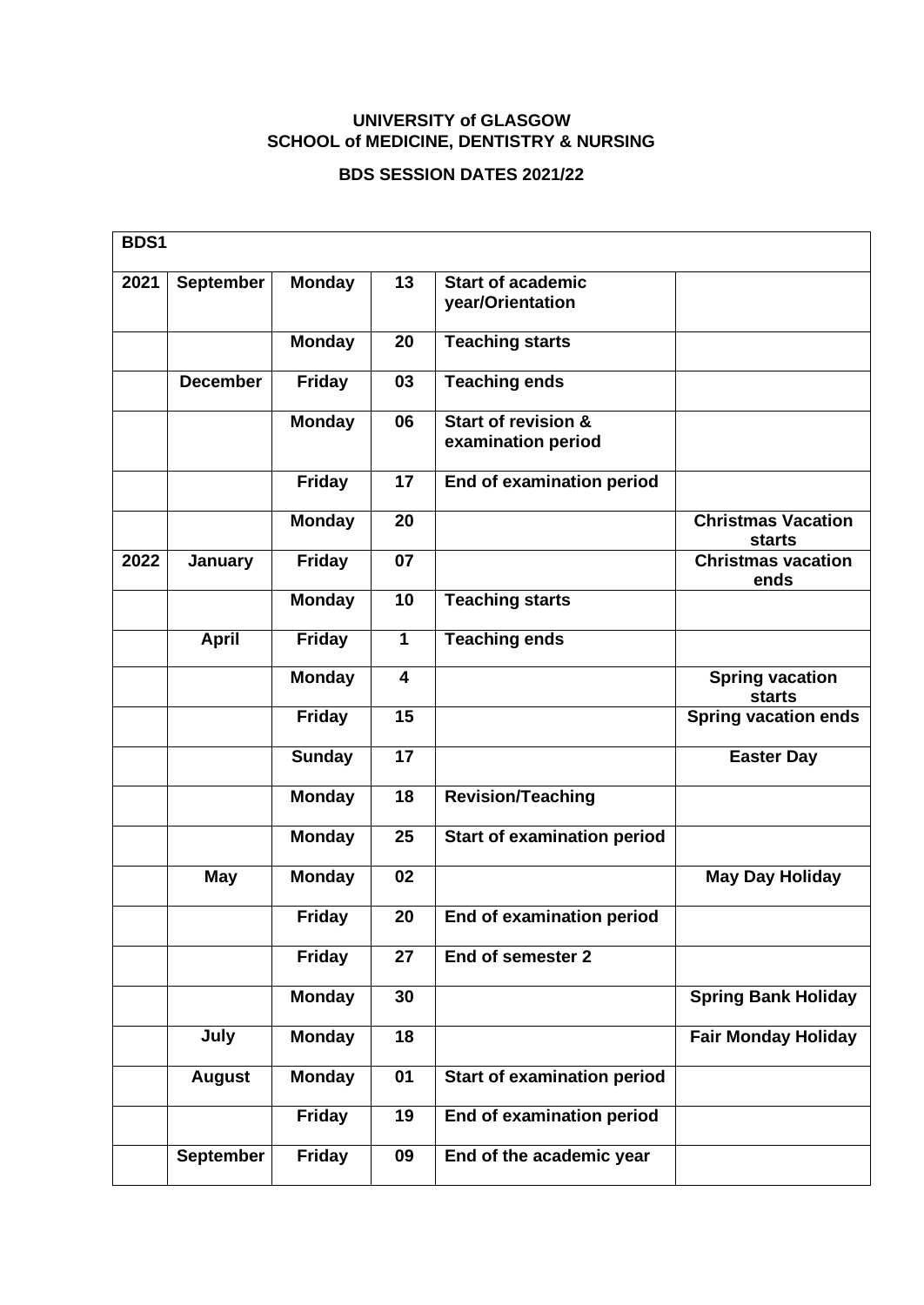## **UNIVERSITY of GLASGOW SCHOOL of MEDICINE, DENTISTRY & NURSING**

## **BDS SESSION DATES 2021/22**

| BDS1 |                  |               |                         |                                                      |                                            |
|------|------------------|---------------|-------------------------|------------------------------------------------------|--------------------------------------------|
| 2021 | <b>September</b> | <b>Monday</b> | 13                      | <b>Start of academic</b><br>year/Orientation         |                                            |
|      |                  | <b>Monday</b> | 20                      | <b>Teaching starts</b>                               |                                            |
|      | <b>December</b>  | <b>Friday</b> | 03                      | <b>Teaching ends</b>                                 |                                            |
|      |                  | <b>Monday</b> | 06                      | <b>Start of revision &amp;</b><br>examination period |                                            |
|      |                  | <b>Friday</b> | 17                      | End of examination period                            |                                            |
|      |                  | Monday        | 20                      |                                                      | <b>Christmas Vacation</b><br><b>starts</b> |
| 2022 | January          | <b>Friday</b> | 07                      |                                                      | <b>Christmas vacation</b><br>ends          |
|      |                  | <b>Monday</b> | 10                      | <b>Teaching starts</b>                               |                                            |
|      | <b>April</b>     | <b>Friday</b> | $\overline{1}$          | <b>Teaching ends</b>                                 |                                            |
|      |                  | <b>Monday</b> | $\overline{\mathbf{4}}$ |                                                      | <b>Spring vacation</b><br><b>starts</b>    |
|      |                  | <b>Friday</b> | 15                      |                                                      | <b>Spring vacation ends</b>                |
|      |                  | <b>Sunday</b> | 17                      |                                                      | <b>Easter Day</b>                          |
|      |                  | <b>Monday</b> | 18                      | <b>Revision/Teaching</b>                             |                                            |
|      |                  | <b>Monday</b> | 25                      | <b>Start of examination period</b>                   |                                            |
|      | <b>May</b>       | <b>Monday</b> | 02                      |                                                      | <b>May Day Holiday</b>                     |
|      |                  | <b>Friday</b> | 20                      | End of examination period                            |                                            |
|      |                  | <b>Friday</b> | 27                      | End of semester 2                                    |                                            |
|      |                  | <b>Monday</b> | 30                      |                                                      | <b>Spring Bank Holiday</b>                 |
|      | July             | <b>Monday</b> | 18                      |                                                      | <b>Fair Monday Holiday</b>                 |
|      | <b>August</b>    | <b>Monday</b> | 01                      | <b>Start of examination period</b>                   |                                            |
|      |                  | <b>Friday</b> | 19                      | End of examination period                            |                                            |
|      | <b>September</b> | <b>Friday</b> | 09                      | End of the academic year                             |                                            |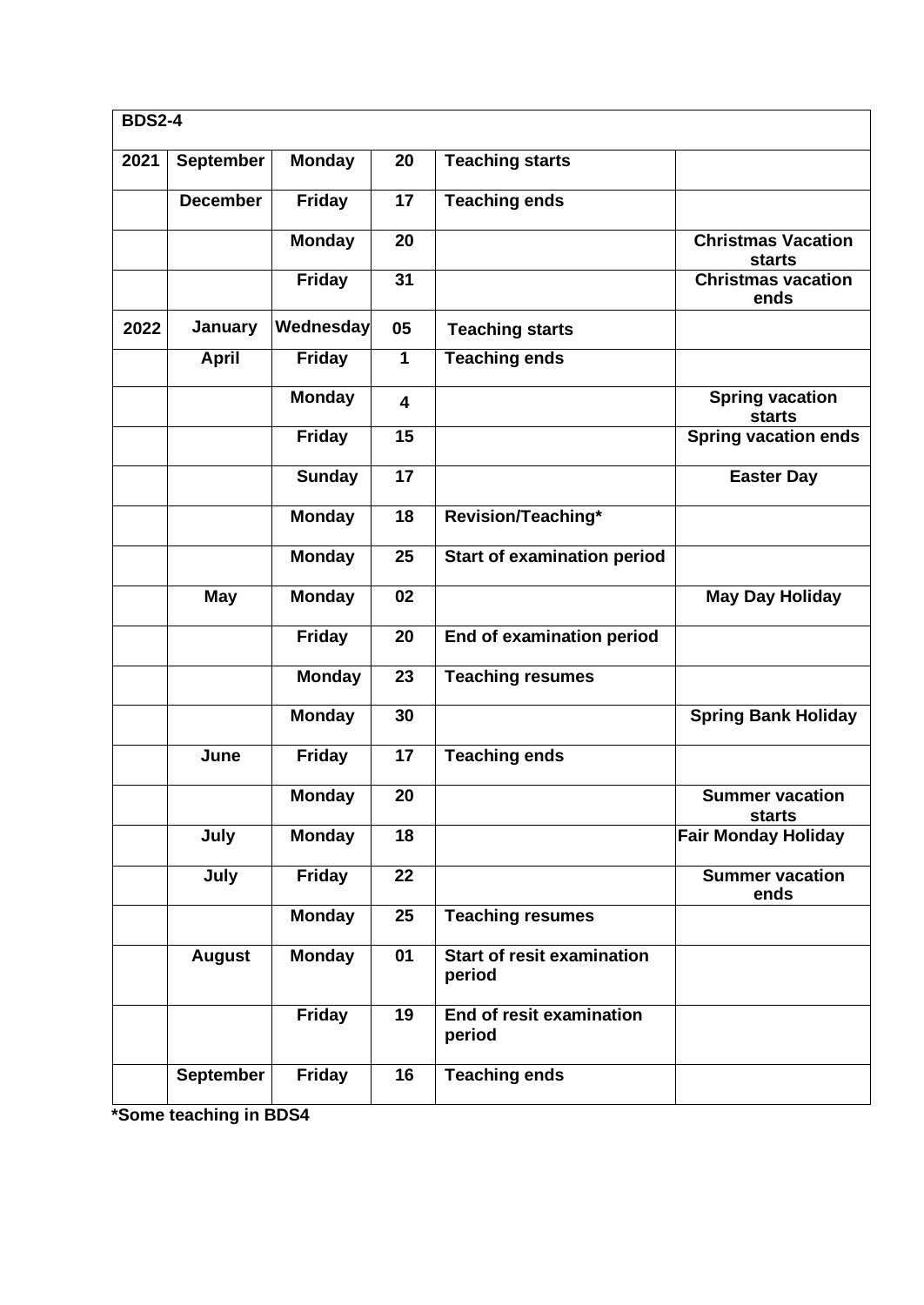| <b>BDS2-4</b> |                  |               |                         |                                             |                                            |  |
|---------------|------------------|---------------|-------------------------|---------------------------------------------|--------------------------------------------|--|
| 2021          | <b>September</b> | <b>Monday</b> | 20                      | <b>Teaching starts</b>                      |                                            |  |
|               | <b>December</b>  | <b>Friday</b> | 17                      | <b>Teaching ends</b>                        |                                            |  |
|               |                  | <b>Monday</b> | 20                      |                                             | <b>Christmas Vacation</b><br><b>starts</b> |  |
|               |                  | <b>Friday</b> | $\overline{31}$         |                                             | <b>Christmas vacation</b><br>ends          |  |
| 2022          | January          | Wednesday     | 05                      | <b>Teaching starts</b>                      |                                            |  |
|               | <b>April</b>     | <b>Friday</b> | 1                       | <b>Teaching ends</b>                        |                                            |  |
|               |                  | <b>Monday</b> | $\overline{\mathbf{4}}$ |                                             | <b>Spring vacation</b><br><b>starts</b>    |  |
|               |                  | <b>Friday</b> | 15                      |                                             | <b>Spring vacation ends</b>                |  |
|               |                  | <b>Sunday</b> | 17                      |                                             | <b>Easter Day</b>                          |  |
|               |                  | <b>Monday</b> | 18                      | Revision/Teaching*                          |                                            |  |
|               |                  | <b>Monday</b> | 25                      | <b>Start of examination period</b>          |                                            |  |
|               | May              | <b>Monday</b> | 02                      |                                             | <b>May Day Holiday</b>                     |  |
|               |                  | <b>Friday</b> | 20                      | End of examination period                   |                                            |  |
|               |                  | <b>Monday</b> | 23                      | <b>Teaching resumes</b>                     |                                            |  |
|               |                  | <b>Monday</b> | 30                      |                                             | <b>Spring Bank Holiday</b>                 |  |
|               | June             | <b>Friday</b> | 17                      | <b>Teaching ends</b>                        |                                            |  |
|               |                  | <b>Monday</b> | 20                      |                                             | <b>Summer vacation</b><br><b>starts</b>    |  |
|               | July             | <b>Monday</b> | 18                      |                                             | <b>Fair Monday Holiday</b>                 |  |
|               | July             | <b>Friday</b> | 22                      |                                             | <b>Summer vacation</b><br>ends             |  |
|               |                  | <b>Monday</b> | 25                      | <b>Teaching resumes</b>                     |                                            |  |
|               | <b>August</b>    | <b>Monday</b> | 01                      | <b>Start of resit examination</b><br>period |                                            |  |
|               |                  | <b>Friday</b> | 19                      | End of resit examination<br>period          |                                            |  |
|               | <b>September</b> | <b>Friday</b> | 16                      | <b>Teaching ends</b>                        |                                            |  |

**\*Some teaching in BDS4**